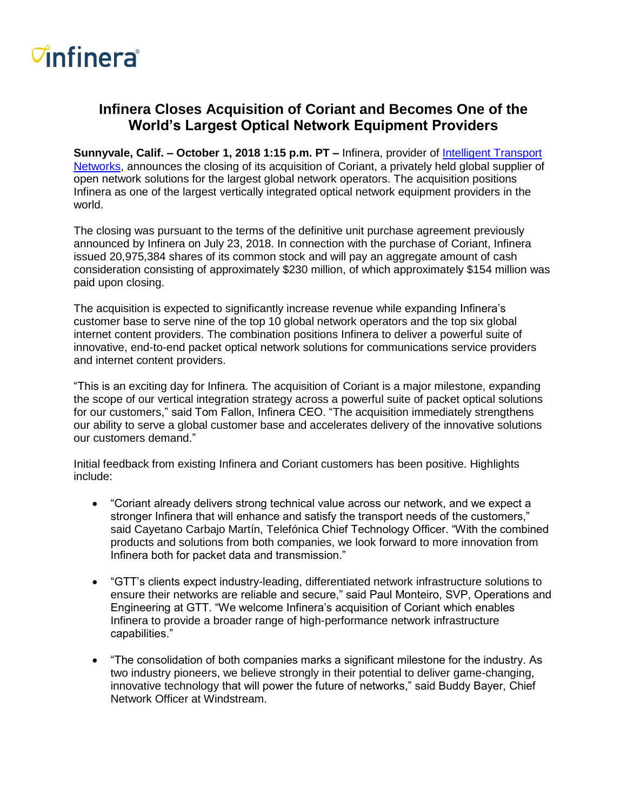## *<del>d</del>nfinera*

### **Infinera Closes Acquisition of Coriant and Becomes One of the World's Largest Optical Network Equipment Providers**

**Sunnyvale, Calif. – October 1, 2018 1:15 p.m. PT –** Infinera, provider of [Intelligent Transport](https://www.infinera.com/technology/intelligent-transport-network/)  [Networks,](https://www.infinera.com/technology/intelligent-transport-network/) announces the closing of its acquisition of Coriant, a privately held global supplier of open network solutions for the largest global network operators. The acquisition positions Infinera as one of the largest vertically integrated optical network equipment providers in the world.

The closing was pursuant to the terms of the definitive unit purchase agreement previously announced by Infinera on July 23, 2018. In connection with the purchase of Coriant, Infinera issued 20,975,384 shares of its common stock and will pay an aggregate amount of cash consideration consisting of approximately \$230 million, of which approximately \$154 million was paid upon closing.

The acquisition is expected to significantly increase revenue while expanding Infinera's customer base to serve nine of the top 10 global network operators and the top six global internet content providers. The combination positions Infinera to deliver a powerful suite of innovative, end-to-end packet optical network solutions for communications service providers and internet content providers.

"This is an exciting day for Infinera. The acquisition of Coriant is a major milestone, expanding the scope of our vertical integration strategy across a powerful suite of packet optical solutions for our customers," said Tom Fallon, Infinera CEO. "The acquisition immediately strengthens our ability to serve a global customer base and accelerates delivery of the innovative solutions our customers demand."

Initial feedback from existing Infinera and Coriant customers has been positive. Highlights include:

- "Coriant already delivers strong technical value across our network, and we expect a stronger Infinera that will enhance and satisfy the transport needs of the customers," said Cayetano Carbajo Martín, Telefónica Chief Technology Officer. "With the combined products and solutions from both companies, we look forward to more innovation from Infinera both for packet data and transmission."
- "GTT's clients expect industry-leading, differentiated network infrastructure solutions to ensure their networks are reliable and secure," said Paul Monteiro, SVP, Operations and Engineering at GTT. "We welcome Infinera's acquisition of Coriant which enables Infinera to provide a broader range of high-performance network infrastructure capabilities."
- "The consolidation of both companies marks a significant milestone for the industry. As two industry pioneers, we believe strongly in their potential to deliver game-changing, innovative technology that will power the future of networks," said Buddy Bayer, Chief Network Officer at Windstream.